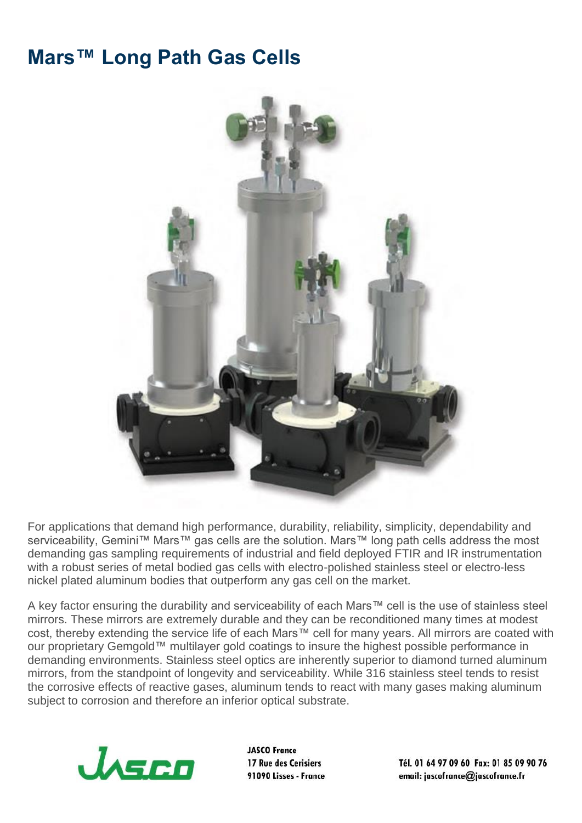## **Mars™ Long Path Gas Cells**



For applications that demand high performance, durability, reliability, simplicity, dependability and serviceability, Gemini™ Mars™ gas cells are the solution. Mars™ long path cells address the most demanding gas sampling requirements of industrial and field deployed FTIR and IR instrumentation with a robust series of metal bodied gas cells with electro-polished stainless steel or electro-less nickel plated aluminum bodies that outperform any gas cell on the market.

A key factor ensuring the durability and serviceability of each Mars™ cell is the use of stainless steel mirrors. These mirrors are extremely durable and they can be reconditioned many times at modest cost, thereby extending the service life of each Mars™ cell for many years. All mirrors are coated with our proprietary Gemgold™ multilayer gold coatings to insure the highest possible performance in demanding environments. Stainless steel optics are inherently superior to diamond turned aluminum mirrors, from the standpoint of longevity and serviceability. While 316 stainless steel tends to resist the corrosive effects of reactive gases, aluminum tends to react with many gases making aluminum subject to corrosion and therefore an inferior optical substrate.



**JASCO France** 17 Rue des Cerisiers 91090 Lisses - France

Tél. 01 64 97 09 60 Fax: 01 85 09 90 76 email: jascofrance@jascofrance.fr